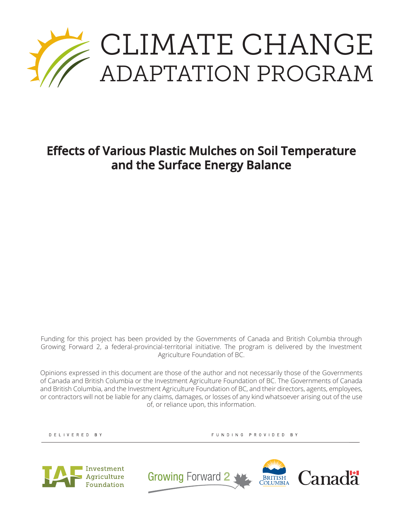

# **Effects of Various Plastic Mulches on Soil Temperature and the Surface Energy Balance**

Funding for this project has been provided by the Governments of Canada and British Columbia through Growing Forward 2, a federal-provincial-territorial initiative. The program is delivered by the Investment Agriculture Foundation of BC.

Opinions expressed in this document are those of the author and not necessarily those of the Governments of Canada and British Columbia or the Investment Agriculture Foundation of BC. The Governments of Canada and British Columbia, and the Investment Agriculture Foundation of BC, and their directors, agents, employees, or contractors will not be liable for any claims, damages, or losses of any kind whatsoever arising out of the use of, or reliance upon, this information.

DELIVERED BY

FUNDING PROVIDED BY



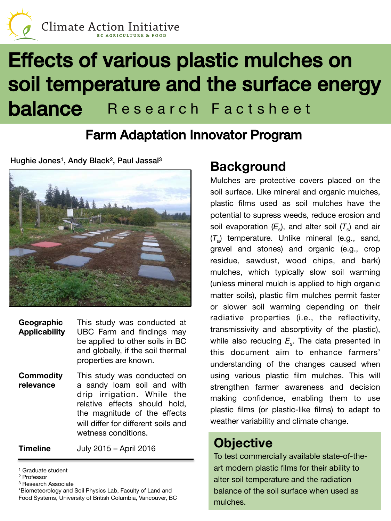

# Effects of various plastic mulches on! soil temperature and the surface energy **balance** Research Factsheet

# Farm Adaptation Innovator Program!

Hughie Jones<sup>1</sup>, Andy Black<sup>2</sup>, Paul Jassal<sup>3</sup>



**Geographic Applicability** This study was conducted at UBC Farm and findings may be applied to other soils in BC and globally, if the soil thermal properties are known.

**Commodity relevance** This study was conducted on a sandy loam soil and with drip irrigation. While the relative effects should hold, the magnitude of the effects will differ for different soils and wetness conditions.

**Timeline** July 2015 – April 2016

## **Background**

Mulches are protective covers placed on the soil surface. Like mineral and organic mulches, plastic films used as soil mulches have the potential to supress weeds, reduce erosion and soil evaporation  $(E<sub>s</sub>)$ , and alter soil  $(T<sub>s</sub>)$  and air  $(T<sub>a</sub>)$  temperature. Unlike mineral (e.g., sand, gravel and stones) and organic (e.g., crop residue, sawdust, wood chips, and bark) mulches, which typically slow soil warming (unless mineral mulch is applied to high organic matter soils), plastic film mulches permit faster or slower soil warming depending on their radiative properties (i.e., the reflectivity, transmissivity and absorptivity of the plastic), while also reducing  $E<sub>s</sub>$ . The data presented in this document aim to enhance farmers' understanding of the changes caused when using various plastic film mulches. This will strengthen farmer awareness and decision making confidence, enabling them to use plastic films (or plastic-like films) to adapt to weather variability and climate change.

## **Objective**

To test commercially available state-of-theart modern plastic films for their ability to alter soil temperature and the radiation balance of the soil surface when used as mulches.

<sup>1</sup> Graduate student

<sup>2</sup> Professor

<sup>3</sup> Research Associate

<sup>\*</sup>Biometeorology and Soil Physics Lab, Faculty of Land and Food Systems, University of British Columbia, Vancouver, BC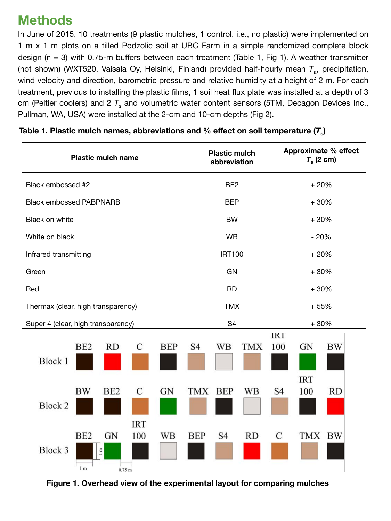## **Methods**

In June of 2015, 10 treatments (9 plastic mulches, 1 control, i.e., no plastic) were implemented on 1 m x 1 m plots on a tilled Podzolic soil at UBC Farm in a simple randomized complete block design ( $n = 3$ ) with 0.75-m buffers between each treatment (Table 1, Fig 1). A weather transmitter (not shown) (WXT520, Vaisala Oy, Helsinki, Finland) provided half-hourly mean T<sub>a</sub>, precipitation, wind velocity and direction, barometric pressure and relative humidity at a height of 2 m. For each treatment, previous to installing the plastic films, 1 soil heat flux plate was installed at a depth of 3 cm (Peltier coolers) and 2 T<sub>s</sub> and volumetric water content sensors (5TM, Decagon Devices Inc., Pullman, WA, USA) were installed at the 2-cm and 10-cm depths (Fig 2).

| <b>Plastic mulch name</b>          |                                   |                                       |                             |            | <b>Plastic mulch</b><br>abbreviation |                |            | Approximate % effect<br>$T_s$ (2 cm) |                  |           |  |
|------------------------------------|-----------------------------------|---------------------------------------|-----------------------------|------------|--------------------------------------|----------------|------------|--------------------------------------|------------------|-----------|--|
| Black embossed #2                  |                                   |                                       |                             |            | BE <sub>2</sub>                      |                |            | $+20%$                               |                  |           |  |
| <b>Black embossed PABPNARB</b>     |                                   |                                       |                             |            | <b>BEP</b>                           |                |            | $+30%$                               |                  |           |  |
| Black on white                     |                                   |                                       |                             |            | <b>BW</b>                            |                |            | $+30%$                               |                  |           |  |
| White on black                     |                                   |                                       |                             |            | <b>WB</b>                            |                |            | $-20%$                               |                  |           |  |
| Infrared transmitting              |                                   |                                       |                             |            | <b>IRT100</b>                        |                |            | $+20%$                               |                  |           |  |
| Green                              |                                   |                                       |                             |            | GN                                   |                |            | $+30%$                               |                  |           |  |
| Red                                |                                   |                                       |                             |            | <b>RD</b>                            |                |            | $+30%$                               |                  |           |  |
| Thermax (clear, high transparency) |                                   |                                       |                             |            | <b>TMX</b>                           |                |            | $+55%$                               |                  |           |  |
| Super 4 (clear, high transparency) |                                   |                                       |                             |            | S <sub>4</sub>                       |                |            | $+30%$                               |                  |           |  |
| <b>Block 1</b>                     | BE <sub>2</sub>                   | <b>RD</b>                             | $\mathcal{C}$               | <b>BEP</b> | S <sub>4</sub>                       | <b>WB</b>      | <b>TMX</b> | <b>IRT</b><br>100                    | GN<br><b>IRT</b> | <b>BW</b> |  |
| <b>Block 2</b>                     | <b>BW</b>                         | BE <sub>2</sub>                       | $\mathcal{C}$<br><b>IRT</b> | <b>GN</b>  | <b>TMX</b>                           | <b>BEP</b>     | <b>WB</b>  | S <sub>4</sub>                       | 100              | <b>RD</b> |  |
| Block 3                            | BE <sub>2</sub><br>1 <sub>m</sub> | <b>GN</b><br>$\mathsf{I}$ m<br>0.75 m | 100                         | <b>WB</b>  | <b>BEP</b>                           | S <sub>4</sub> | <b>RD</b>  | $\mathcal{C}$                        | TMX              | <b>BW</b> |  |

#### Table 1. Plastic mulch names, abbreviations and % effect on soil temperature  $(T<sub>s</sub>)$

**Figure 1. Overhead view of the experimental layout for comparing mulches**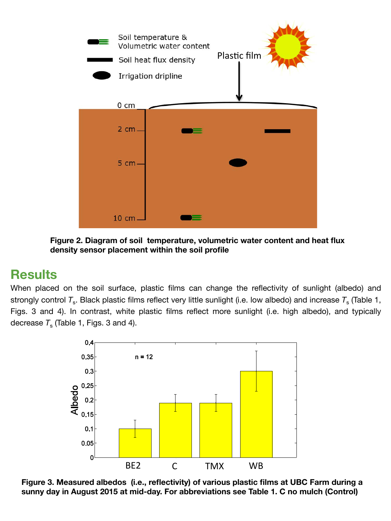

**Figure 2. Diagram of soil temperature, volumetric water content and heat flux density sensor placement within the soil profile** 

#### **Results**

When placed on the soil surface, plastic films can change the reflectivity of sunlight (albedo) and strongly control  $T_s$ . Black plastic films reflect very little sunlight (i.e. low albedo) and increase  $T_s$  (Table 1, Figs. 3 and 4). In contrast, white plastic films reflect more sunlight (i.e. high albedo), and typically decrease  $T_s$  (Table 1, Figs. 3 and 4).



**Figure 3. Measured albedos (i.e., reflectivity) of various plastic films at UBC Farm during a sunny day in August 2015 at mid-day. For abbreviations see Table 1. C no mulch (Control)**